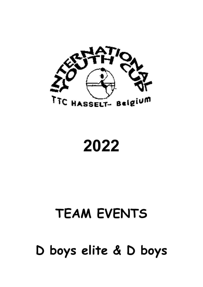

2022

# TEAM EVENTS

D boys elite & D boys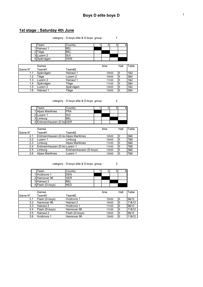#### 1st stage : Saturday 4th June

category : D-boys elite & D-boys group : 1

| Team        | Country |  |  |
|-------------|---------|--|--|
| 1 Hainaut 1 | 'BEL    |  |  |
| ? Tiège     | 'BEL    |  |  |
| 3 Luzern 2  |         |  |  |
| 4 Spårvägen | SWF     |  |  |

|                | Games     |           | time              | Hall | Table |
|----------------|-----------|-----------|-------------------|------|-------|
| <b>Game N°</b> | Team#1    | Team#2    |                   |      |       |
| 1.1            | Spårvägen | Hainaut 1 | 10h00             | Ш    | 1&2   |
| 1.2            | Tiège     | Luzern 2  | 10 <sub>h00</sub> | Ш    | 3&4   |
| 1.3            | Luzern 2  | Hainaut 1 | 11h30             | Ш    | 1&2   |
| 1.4            | Spårvägen | Tiège     | 11h30             | Ш    | 3&4   |
| 1.5            | Luzern 2  | Spårvägen | 13h00             | Ш    | 1&2   |
| .6             | Hainaut 1 | Tiège     | 13h00             |      | 3&4   |

category : D-boys elite & D-boys group : 2

| Team                     | Countrv |  |  |
|--------------------------|---------|--|--|
| 1 Alpes Maritimes        | FRA     |  |  |
| 21 Luzern 1              | SUI     |  |  |
| 3 Limburg                |         |  |  |
| 4 Erdmannhausen (D-bdGER |         |  |  |

|          | Games                               |                        | time  | Hall | Table |
|----------|-------------------------------------|------------------------|-------|------|-------|
| 'Game N° | Team#1                              | Team#2                 |       |      |       |
| 2.1      | Erdmannhausen (D-bo Alpes Maritimes |                        | 10h00 |      | 5&6   |
| 22       | Luzern 1                            | Limburg                | 10h00 |      | 7&8   |
| 2.3      | Limburg                             | <b>Alpes Maritimes</b> | 11h30 |      | 5&6   |
| 2.4      | Erdmannhausen (D-bo Luzern 1        |                        | 11h30 |      | 7&8   |
| 2.5      | Limburg                             | Erdmannhausen (D-boys) | 13h00 |      | 5&6   |
| 2.6      | <b>Alpes Maritimes</b>              | Luzern 1               | 13h00 |      | 7&8   |

category : D-boys elite & D-boys group : 3

Team Country 1 2 3 4<br>
Hvidrovre 1 DEN 1 2 3 4 1 Hvidrovre 1 DEN<br>2 Hannover 96 GER 2 Hannover 96 GER 3 Hainaut 2 BEL 4 Flash (D-boys) NED

|         | Games          |                | time               | Hall | Table |
|---------|----------------|----------------|--------------------|------|-------|
| Game N° | Team#1         | Team#2         |                    |      |       |
| 3.1     | Flash (D-boys) | Hvidrovre 1    | 10 <sub>h</sub> 00 | Ш    | 19&10 |
| 3.2     | Hannover 96    | Hainaut 2      | 10h00              | Ш    | 11&12 |
| 3.3     | Hainaut 2      | Hvidrovre 1    | 11h30              |      | 19&10 |
| 3.4     | Flash (D-boys) | Hannover 96    | 11h30              |      | 11&12 |
| 3.5     | Hainaut 2      | Flash (D-boys) | 13h00              | Ш    | 19&10 |
| 3.6     | Hvidrovre 1    | Hannover 96    | 13h00              |      | 11&12 |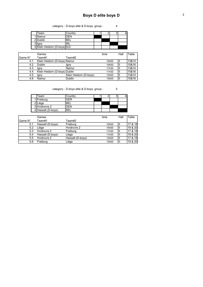category : D-boys elite & D-boys group : 4

|   | Team                         | Countrv |  |  |
|---|------------------------------|---------|--|--|
|   | Namur                        | )FN     |  |  |
|   | 2 Dublin                     | BEL     |  |  |
| ົ | lgny                         | 'RL     |  |  |
|   | 4 Klein Heidorn (D-boys) SUI |         |  |  |

|         | Games                         |                        | time               | Hall | Table |
|---------|-------------------------------|------------------------|--------------------|------|-------|
| Game N° | Team#1                        | Team#2                 |                    |      |       |
| 4.1     | Klein Heidorn (D-boys) Namur  |                        | 10 <sub>h</sub> 00 | Ш    | 13&14 |
| 4.2     | Dublin                        | lgny                   | 10 <sub>h</sub> 00 | Ш    | 15&16 |
| 4.3     | Igny                          | Namur                  | 11h30              | ΠI   | 13&14 |
| 4.4     | Klein Heidorn (D-boys) Dublin |                        | 11h30              | Ш    | 15&16 |
| 4.5     | Igny                          | Klein Heidorn (D-boys) | 13h00              | Ш    | 13&14 |
| 4.6     | Namur                         | Dublin                 | 13h00              | Ш    | 15&16 |

category : D-boys elite & D-boys group : 5

| Team               | Country    |  |  |
|--------------------|------------|--|--|
| 1 Freiburg         | GER        |  |  |
| 2 Liège            | 'BFI       |  |  |
| 3 Hvidrovre 2      | DEN        |  |  |
| 4 Hasselt (D-boys) | <b>BFI</b> |  |  |

|                | Games            |                  | time               | Hall | Table   |
|----------------|------------------|------------------|--------------------|------|---------|
| <b>Game N°</b> | Team#1           | Team#2           |                    |      |         |
| 5.1            | Hasselt (D-boys) | Freiburg         | 10 <sub>h</sub> 00 |      | 17 & 18 |
| 5.2            | Liège            | Hvidrovre 2      | 10 <sub>h</sub> 00 |      | 19 & 20 |
| 5.3            | Hvidrovre 2      | Freiburg         | 11h30              |      | 17 & 18 |
| 5.4            | Hasselt (D-boys) | Liège            | 11h30              |      | 19 & 20 |
| $5.5^{\circ}$  | Hvidrovre 2      | Hasselt (D-boys) | 13h00              |      | 17 & 18 |
| 5.6            | Freiburg         | Liège            | 13h00              |      | 19 & 20 |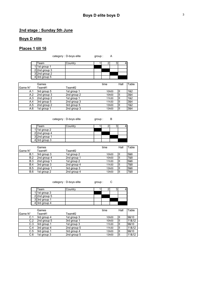## 2nd stage : Sunday 5th June

#### Boys D elite

## Places 1 till 16

| category : D-boys elite | group: | A |
|-------------------------|--------|---|
|                         |        |   |

| Team          |  |  |  |
|---------------|--|--|--|
| 1st group 1   |  |  |  |
| $2nd$ aroun 2 |  |  |  |

|  | 1 1st group 1 |  |      |      |      |
|--|---------------|--|------|------|------|
|  | 2 2nd group 3 |  |      |      |      |
|  | 3 2nd group 2 |  |      |      |      |
|  | 4 3rd group 5 |  |      |      |      |
|  |               |  |      |      |      |
|  | Games         |  | time | Hall | able |

|                | Games       |             | time               | Hall | Table |
|----------------|-------------|-------------|--------------------|------|-------|
| <b>Game N°</b> | Team#1      | Team#2      |                    |      |       |
| A.1            | 3rd group 5 | 1st group 1 | 10 <sub>h</sub> 00 |      | 1&2   |
| A.2            | 2nd group 3 | 2nd group 2 | 10h00              |      | 3&4   |
| A.3            | 2nd group 2 | 1st group 1 | 11h30              |      | 1&2   |
| A.4            | 3rd group 5 | 2nd group 3 | 11h30              |      | 3&4   |
| A.5            | 2nd group 2 | 3rd group 5 | 13h00              |      | 1&2   |
| A.6            | 1st group 1 | 2nd group 3 | 13h00              |      | 3&4   |

category : D-boys elite group : B

| Team             | Country |  |  |
|------------------|---------|--|--|
| 1 1st group 2    |         |  |  |
| $2$  2nd group 4 |         |  |  |
| 32nd group 1     |         |  |  |
| 4 3rd group 3    |         |  |  |

|            | Games       |             | time               | Hall | Table |
|------------|-------------|-------------|--------------------|------|-------|
| Game N°    | Team#1      | Team#2      |                    |      |       |
| B.1        | 3rd group 3 | 1st group 2 | 10 <sub>h</sub> 00 | Ш    | 5&6   |
| B.2        | 2nd group 4 | 2nd group 1 | 10h00              | ıП   | 7&8   |
| B.3        | 2nd group 1 | 1st group 2 | 11h30              | Ш    | 5&6   |
| <b>B.4</b> | 3rd group 3 | 2nd group 4 | 11h30              | Ш    | 7&8   |
| <b>B.5</b> | 2nd group 1 | 3rd group 3 | 13h00              | Ш    | 5&6   |
| B.6        | 1st group 2 | 2nd group 4 | 13h00              | Ш    | 7&8   |

category : D-boys elite group : C

| Team              | Country |  |  |
|-------------------|---------|--|--|
| 1 1st group 3     |         |  |  |
| $2$ 2nd group 5   |         |  |  |
| 3 3rd group 1     |         |  |  |
| $4$ 3rd group $4$ |         |  |  |

|         | Games       |             | time               | Hall | Table |
|---------|-------------|-------------|--------------------|------|-------|
| Game N° | Team#1      | Team#2      |                    |      |       |
| C.1     | 3rd group 4 | 1st group 3 | 10 <sub>h</sub> 00 | Ш    | 19&10 |
| C.2     | 2nd group 5 | 3rd group 1 | 10h00              |      | 11&12 |
| C.3     | 3rd group 1 | 1st group 3 | 11h30              |      | 19&10 |
| C.4     | 3rd group 4 | 2nd group 5 | 11h30              |      | 11&12 |
| C.5     | 3rd group 1 | 3rd group 4 | 13h00              |      | 19&10 |
| C.6     | 1st group 3 | 2nd group 5 | 13h00              |      | 11&12 |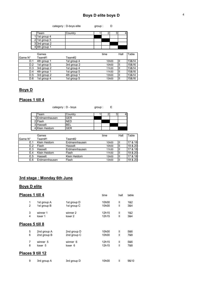| category : D-boys elite | group: |  |
|-------------------------|--------|--|
|                         |        |  |

| Team            | Countrv |  |  |
|-----------------|---------|--|--|
| 1 1st group 4   |         |  |  |
| $2$ 1st group 5 |         |  |  |
| 3 3rd group 2   |         |  |  |
| 4 4th group 1   |         |  |  |

|         | Games       |             | time               | Hall | Table |
|---------|-------------|-------------|--------------------|------|-------|
| Game N° | Team#1      | Team#2      |                    |      |       |
| D.1     | 4th group 1 | 1st group 4 | 10 <sub>h</sub> 00 | Ш    | 13&14 |
| D.2     | 1st group 5 | 3rd group 2 | 10 <sub>h</sub> 00 | Ш    | 15&16 |
| D.3     | 3rd group 2 | 1st group 4 | 11h30              | Ш    | 13&14 |
| D.4     | 4th group 1 | 1st group 5 | 11h30              | Ш    | 15&16 |
| D.5     | 3rd group 2 | 4th group 1 | 13h00              | Ш    | 13&14 |
| D.6     | 1st group 4 | 1st group 5 | 13h00              | Ш    | 15&16 |

## Boys D

### Places 1 till 4

| category : D - boys |         | group: |  |  |
|---------------------|---------|--------|--|--|
| Team                | Country |        |  |  |
| 1 Erdmannhausen     | GFR     |        |  |  |
| 2 Flash             | JFD     |        |  |  |
| 3 Hasselt           | BEL.    |        |  |  |

|                | Games         |               | time               | Hall | Table   |
|----------------|---------------|---------------|--------------------|------|---------|
| lGame N°       | Team#1        | Team#2        |                    |      |         |
| E.1            | Klein Heidorn | Erdmannhausen | 10 <sub>h</sub> 00 | Ш    | 17 & 18 |
| F 2            | Flash         | Hasselt       | 10 <sub>h</sub> 00 | Ш    | 19 & 20 |
| E 3            | Hasselt       | Erdmannhausen | 11h30              | Ш    | 17 & 18 |
| F <sub>4</sub> | Klein Heidorn | Flash         | 11h30              | ΠI   | 19 & 20 |
| E.5            | Hasselt       | Klein Heidorn | 13h00              |      | 17 & 18 |
| E.6            | Erdmannhausen | Flash         | 13h00              | ΨI   | 19 & 20 |

## 3rd stage : Monday 6th June

4 Klein Heidorn GER

#### Boys D elite

| Places 1 till 4 |                  |                    | time  | hall         | table |
|-----------------|------------------|--------------------|-------|--------------|-------|
| 1               | 1st group A      | 1st group D        | 10h00 | $\mathbf{I}$ | 1&2   |
| $\overline{2}$  | 1st group B      | 1st group C        | 10h00 | $\mathsf{I}$ | 3&4   |
| 3               | winner 1         | winner 2           | 12h15 | Ш            | 1&2   |
| 4               | loser 1          | loser <sub>2</sub> | 12h15 | Ш            | 3&4   |
|                 | Places 5 till 8  |                    |       |              |       |
| 5               | 2nd group A      | 2nd group D        | 10h00 | $\mathbf{I}$ | 5&6   |
| 6               | 2nd group B      | 2nd group C        | 10h00 | $\mathsf{I}$ | 7&8   |
| 7               | winner 5         | winner 6           | 12h15 | Ш            | 5&6   |
| 8               | loser 5          | loser 6            | 12h15 | Ш            | 7&8   |
|                 | Places 9 till 12 |                    |       |              |       |
| 9               | 3rd group A      | 3rd group D        | 10h00 | Ш            |       |